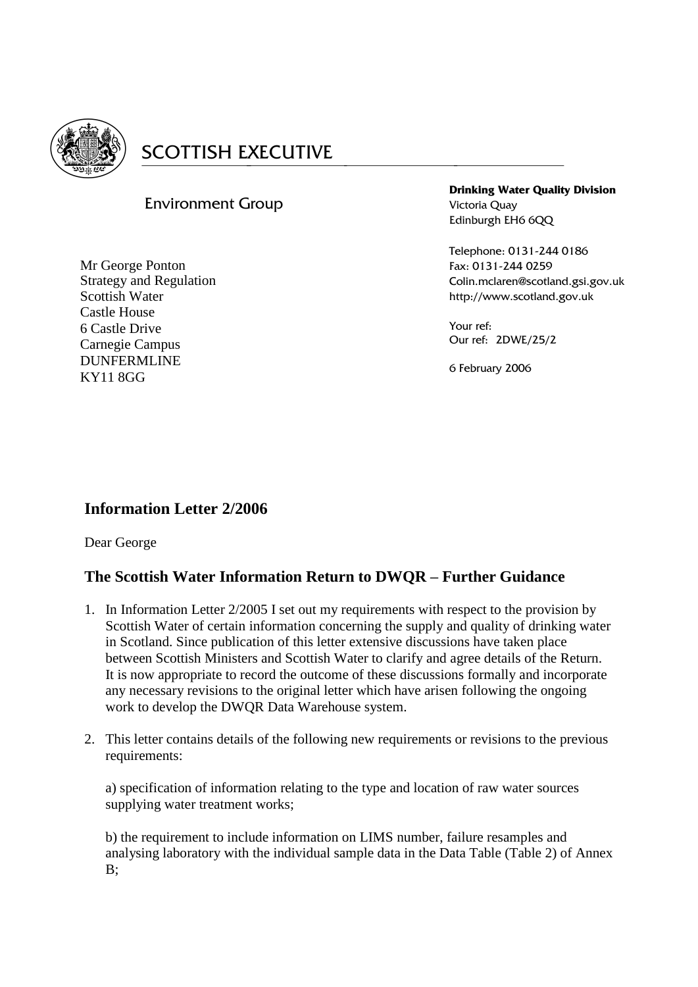

# **SCOTTISH EXECUTIVE**

# Environment Group

Mr George Ponton Strategy and Regulation Scottish Water Castle House 6 Castle Drive Carnegie Campus DUNFERMLINE KY11 8GG

**Drinking Water Quality Division** Victoria Quay Edinburgh EH6 6QQ

Telephone: 0131-244 0186 Fax: 0131-244 0259 Colin.mclaren@scotland.gsi.gov.uk http://www.scotland.gov.uk

Your ref: Our ref: 2DWE/25/2

6 February 2006

# **Information Letter 2/2006**

Dear George

# **The Scottish Water Information Return to DWQR – Further Guidance**

- 1. In Information Letter 2/2005 I set out my requirements with respect to the provision by Scottish Water of certain information concerning the supply and quality of drinking water in Scotland. Since publication of this letter extensive discussions have taken place between Scottish Ministers and Scottish Water to clarify and agree details of the Return. It is now appropriate to record the outcome of these discussions formally and incorporate any necessary revisions to the original letter which have arisen following the ongoing work to develop the DWQR Data Warehouse system.
- 2. This letter contains details of the following new requirements or revisions to the previous requirements:

a) specification of information relating to the type and location of raw water sources supplying water treatment works;

b) the requirement to include information on LIMS number, failure resamples and analysing laboratory with the individual sample data in the Data Table (Table 2) of Annex  $B$ :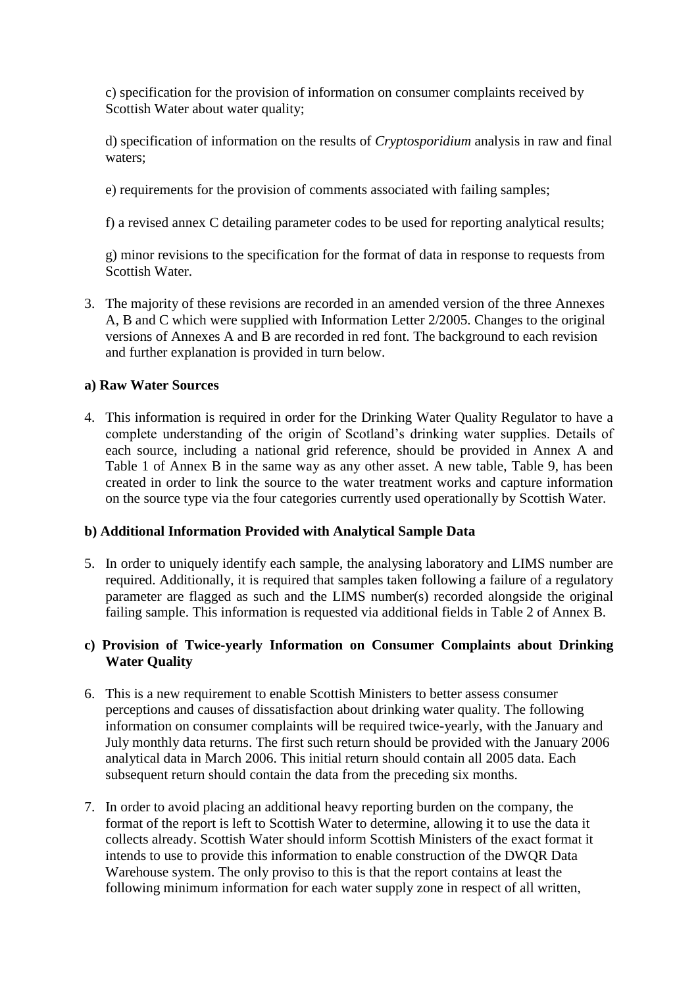c) specification for the provision of information on consumer complaints received by Scottish Water about water quality;

d) specification of information on the results of *Cryptosporidium* analysis in raw and final waters;

e) requirements for the provision of comments associated with failing samples;

f) a revised annex C detailing parameter codes to be used for reporting analytical results;

g) minor revisions to the specification for the format of data in response to requests from Scottish Water.

3. The majority of these revisions are recorded in an amended version of the three Annexes A, B and C which were supplied with Information Letter 2/2005. Changes to the original versions of Annexes A and B are recorded in red font. The background to each revision and further explanation is provided in turn below.

## **a) Raw Water Sources**

4. This information is required in order for the Drinking Water Quality Regulator to have a complete understanding of the origin of Scotland's drinking water supplies. Details of each source, including a national grid reference, should be provided in Annex A and Table 1 of Annex B in the same way as any other asset. A new table, Table 9, has been created in order to link the source to the water treatment works and capture information on the source type via the four categories currently used operationally by Scottish Water.

#### **b) Additional Information Provided with Analytical Sample Data**

5. In order to uniquely identify each sample, the analysing laboratory and LIMS number are required. Additionally, it is required that samples taken following a failure of a regulatory parameter are flagged as such and the LIMS number(s) recorded alongside the original failing sample. This information is requested via additional fields in Table 2 of Annex B.

# **c) Provision of Twice-yearly Information on Consumer Complaints about Drinking Water Quality**

- 6. This is a new requirement to enable Scottish Ministers to better assess consumer perceptions and causes of dissatisfaction about drinking water quality. The following information on consumer complaints will be required twice-yearly, with the January and July monthly data returns. The first such return should be provided with the January 2006 analytical data in March 2006. This initial return should contain all 2005 data. Each subsequent return should contain the data from the preceding six months.
- 7. In order to avoid placing an additional heavy reporting burden on the company, the format of the report is left to Scottish Water to determine, allowing it to use the data it collects already. Scottish Water should inform Scottish Ministers of the exact format it intends to use to provide this information to enable construction of the DWQR Data Warehouse system. The only proviso to this is that the report contains at least the following minimum information for each water supply zone in respect of all written,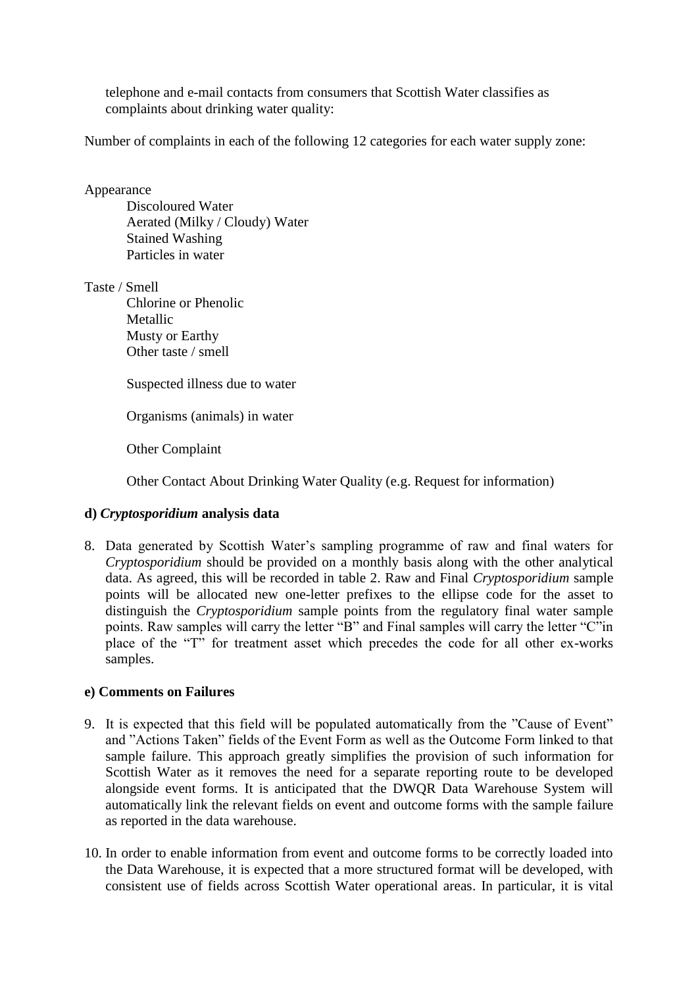telephone and e-mail contacts from consumers that Scottish Water classifies as complaints about drinking water quality:

Number of complaints in each of the following 12 categories for each water supply zone:

#### Appearance

Discoloured Water Aerated (Milky / Cloudy) Water Stained Washing Particles in water

Taste / Smell

Chlorine or Phenolic Metallic Musty or Earthy Other taste / smell

Suspected illness due to water

Organisms (animals) in water

Other Complaint

Other Contact About Drinking Water Quality (e.g. Request for information)

# **d)** *Cryptosporidium* **analysis data**

8. Data generated by Scottish Water's sampling programme of raw and final waters for *Cryptosporidium* should be provided on a monthly basis along with the other analytical data. As agreed, this will be recorded in table 2. Raw and Final *Cryptosporidium* sample points will be allocated new one-letter prefixes to the ellipse code for the asset to distinguish the *Cryptosporidium* sample points from the regulatory final water sample points. Raw samples will carry the letter "B" and Final samples will carry the letter "C"in place of the "T" for treatment asset which precedes the code for all other ex-works samples.

#### **e) Comments on Failures**

- 9. It is expected that this field will be populated automatically from the "Cause of Event" and "Actions Taken" fields of the Event Form as well as the Outcome Form linked to that sample failure. This approach greatly simplifies the provision of such information for Scottish Water as it removes the need for a separate reporting route to be developed alongside event forms. It is anticipated that the DWQR Data Warehouse System will automatically link the relevant fields on event and outcome forms with the sample failure as reported in the data warehouse.
- 10. In order to enable information from event and outcome forms to be correctly loaded into the Data Warehouse, it is expected that a more structured format will be developed, with consistent use of fields across Scottish Water operational areas. In particular, it is vital